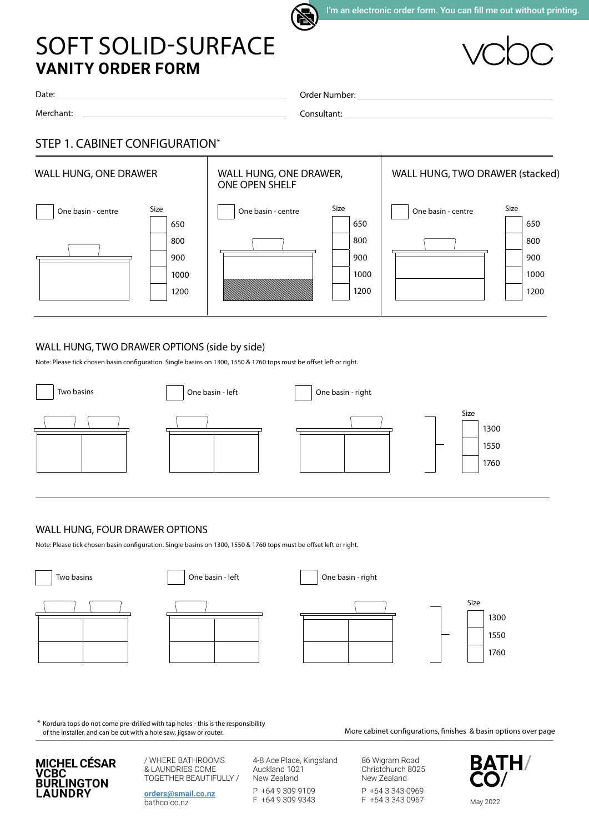

# **VANITY ORDER FORM** SOFT SOLID-SURFACE

Date:

Merchant:

Order Number:

Consultant:

## STEP 1. CABINET CONFIGURATION\*



### WALL HUNG, TWO DRAWER OPTIONS (side by side)

Note: Please tick chosen basin configuration. Single basins on 1300, 1550 & 1760 tops must be offset left or right.



### WALL HUNG, FOUR DRAWER OPTIONS

Note: Please tick chosen basin configuration. Single basins on 1300, 1550 & 1760 tops must be offset left or right.



\* Kordura tops do not come pre-drilled with tap holes - this is the responsibility of the installer, and can be cut with a hole saw, jigsaw or router.

More cabinet configurations, finishes & basin options over page



/ WHERE BATHROOMS & LAUNDRIES COME TOGETHER BEAUTIFULLY /

**[orders@smail.co.nz](mailto:orders%40smail.co.nz?subject=Soft%20Solid%20Surface%20Order)** bathco.co.nz

4-8 Ace Place, Kingsland Auckland 1021 New Zealand

P +64 9 309 9109 F +64 9 309 9343 86 Wigram Road Christchurch 8025 New Zealand

P +64 3 343 0969 F +64 3 343 0967

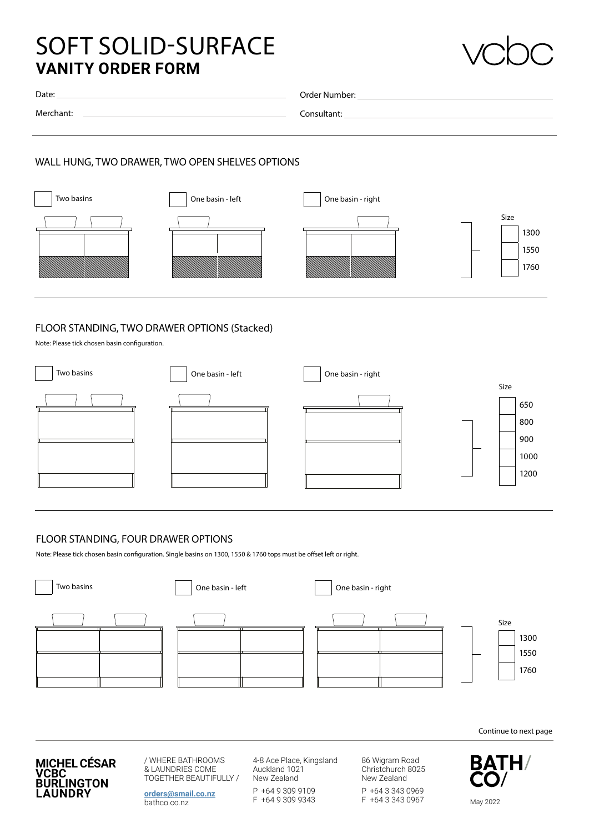# **VANITY ORDER FORM** SOFT SOLID-SURFACE



| Date:     | Order Number: |
|-----------|---------------|
| Merchant: |               |
|           | Consultant:   |
|           |               |

#### WALL HUNG, TWO DRAWER, TWO OPEN SHELVES OPTIONS



#### FLOOR STANDING, TWO DRAWER OPTIONS (Stacked)

Note: Please tick chosen basin configuration.



#### FLOOR STANDING, FOUR DRAWER OPTIONS

Note: Please tick chosen basin configuration. Single basins on 1300, 1550 & 1760 tops must be offset left or right.



Continue to next page



/ WHERE BATHROOMS & LAUNDRIES COME TOGETHER BEAUTIFULLY /

**[orders@smail.co.nz](mailto:orders%40smail.co.nz?subject=Soft%20Solid%20Surface%20Order)** bathco.co.nz

4-8 Ace Place, Kingsland Auckland 1021 New Zealand

P +64 9 309 9109 F +64 9 309 9343 86 Wigram Road Christchurch 8025 New Zealand

P +64 3 343 0969 F +64 3 343 0967

**BATH/** May 2022